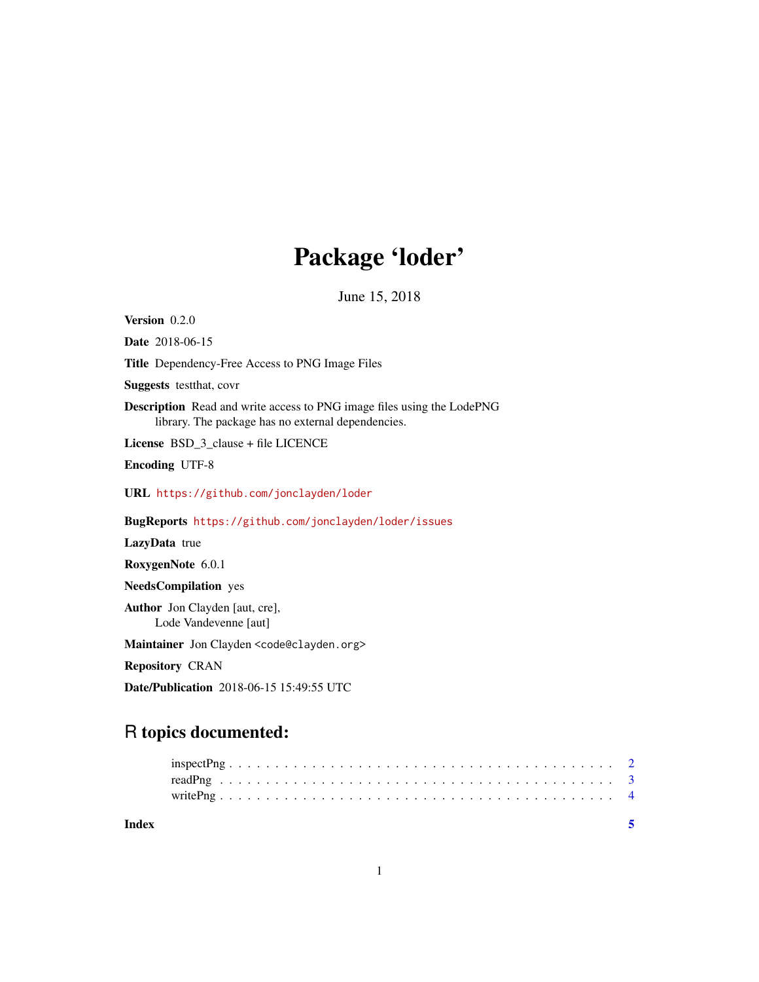## Package 'loder'

June 15, 2018

Version 0.2.0 Date 2018-06-15 Title Dependency-Free Access to PNG Image Files Suggests testthat, covr Description Read and write access to PNG image files using the LodePNG library. The package has no external dependencies. License BSD\_3\_clause + file LICENCE Encoding UTF-8 URL <https://github.com/jonclayden/loder> BugReports <https://github.com/jonclayden/loder/issues> LazyData true RoxygenNote 6.0.1 NeedsCompilation yes Author Jon Clayden [aut, cre], Lode Vandevenne [aut] Maintainer Jon Clayden <code@clayden.org> Repository CRAN Date/Publication 2018-06-15 15:49:55 UTC

### R topics documented:

| Index |  |  |  |  |  |  |  |  |  |  |  |  |  |  |  |  |  |  |  |  |  |
|-------|--|--|--|--|--|--|--|--|--|--|--|--|--|--|--|--|--|--|--|--|--|
|       |  |  |  |  |  |  |  |  |  |  |  |  |  |  |  |  |  |  |  |  |  |
|       |  |  |  |  |  |  |  |  |  |  |  |  |  |  |  |  |  |  |  |  |  |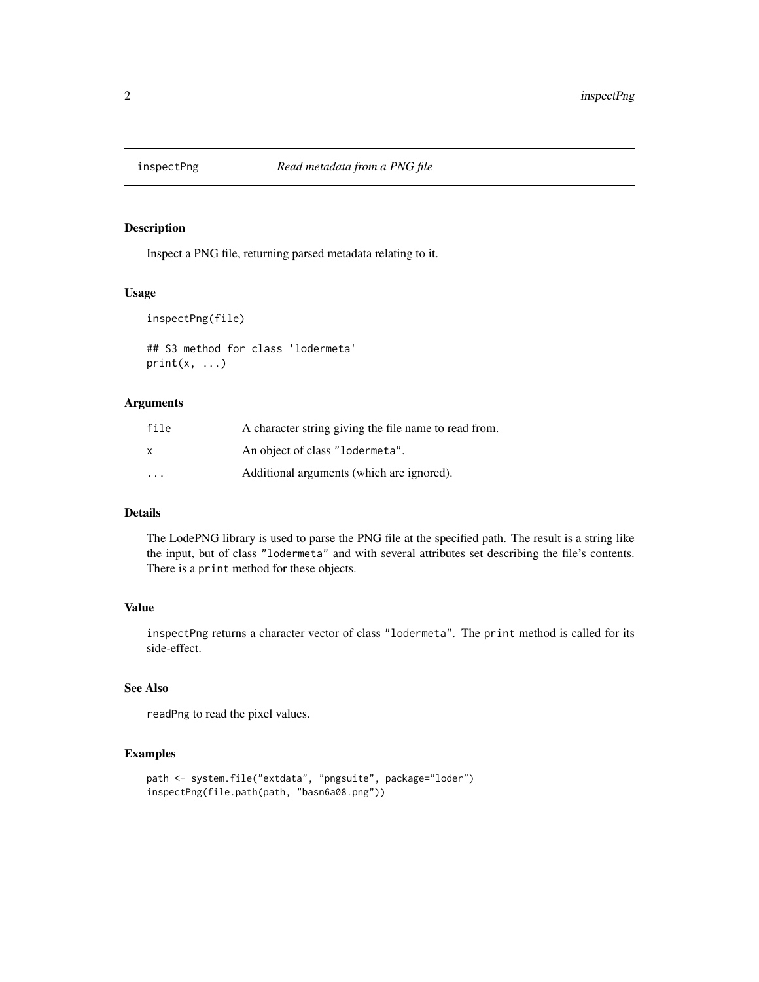<span id="page-1-0"></span>

#### Description

Inspect a PNG file, returning parsed metadata relating to it.

#### Usage

```
inspectPng(file)
```

```
## S3 method for class 'lodermeta'
print(x, \ldots)
```
#### Arguments

| file                    | A character string giving the file name to read from. |
|-------------------------|-------------------------------------------------------|
| x                       | An object of class "lodermeta".                       |
| $\cdot$ $\cdot$ $\cdot$ | Additional arguments (which are ignored).             |

#### Details

The LodePNG library is used to parse the PNG file at the specified path. The result is a string like the input, but of class "lodermeta" and with several attributes set describing the file's contents. There is a print method for these objects.

#### Value

inspectPng returns a character vector of class "lodermeta". The print method is called for its side-effect.

#### See Also

readPng to read the pixel values.

#### Examples

```
path <- system.file("extdata", "pngsuite", package="loder")
inspectPng(file.path(path, "basn6a08.png"))
```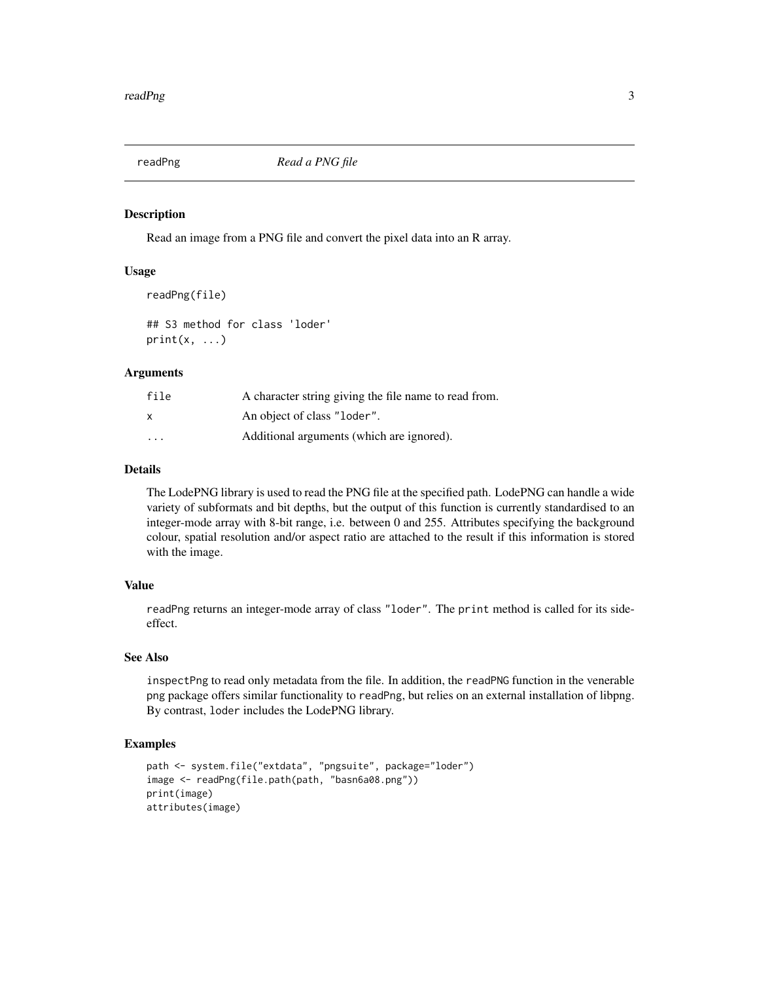<span id="page-2-1"></span><span id="page-2-0"></span>

#### Description

Read an image from a PNG file and convert the pixel data into an R array.

#### Usage

```
readPng(file)
```
## S3 method for class 'loder'  $print(x, \ldots)$ 

#### Arguments

| file                    | A character string giving the file name to read from. |
|-------------------------|-------------------------------------------------------|
| x                       | An object of class "loder".                           |
| $\cdot$ $\cdot$ $\cdot$ | Additional arguments (which are ignored).             |

#### Details

The LodePNG library is used to read the PNG file at the specified path. LodePNG can handle a wide variety of subformats and bit depths, but the output of this function is currently standardised to an integer-mode array with 8-bit range, i.e. between 0 and 255. Attributes specifying the background colour, spatial resolution and/or aspect ratio are attached to the result if this information is stored with the image.

#### Value

readPng returns an integer-mode array of class "loder". The print method is called for its sideeffect.

#### See Also

inspectPng to read only metadata from the file. In addition, the readPNG function in the venerable png package offers similar functionality to readPng, but relies on an external installation of libpng. By contrast, loder includes the LodePNG library.

#### Examples

```
path <- system.file("extdata", "pngsuite", package="loder")
image <- readPng(file.path(path, "basn6a08.png"))
print(image)
attributes(image)
```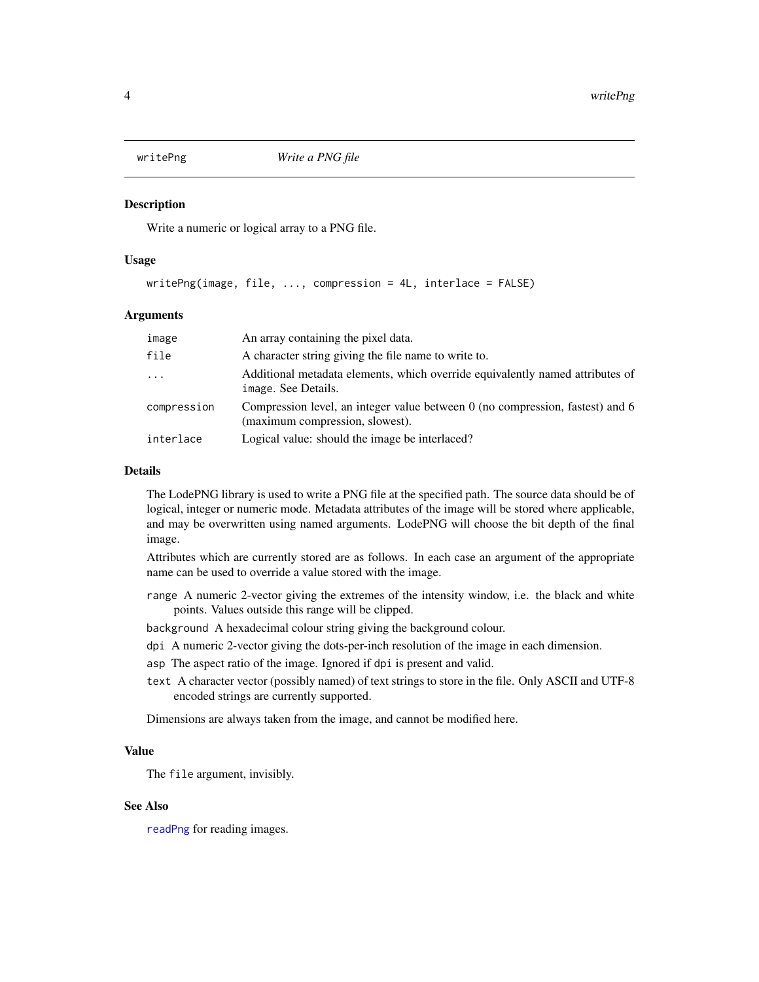<span id="page-3-0"></span>

#### Description

Write a numeric or logical array to a PNG file.

#### Usage

```
writePng (image, file, ..., compression = 4L, interlace = FALSE)
```
#### **Arguments**

| image       | An array containing the pixel data.                                                                              |
|-------------|------------------------------------------------------------------------------------------------------------------|
| file        | A character string giving the file name to write to.                                                             |
| $\ddots$    | Additional metadata elements, which override equivalently named attributes of<br>image. See Details.             |
| compression | Compression level, an integer value between 0 (no compression, fastest) and 6<br>(maximum compression, slowest). |
| interlace   | Logical value: should the image be interlaced?                                                                   |

#### Details

The LodePNG library is used to write a PNG file at the specified path. The source data should be of logical, integer or numeric mode. Metadata attributes of the image will be stored where applicable, and may be overwritten using named arguments. LodePNG will choose the bit depth of the final image.

Attributes which are currently stored are as follows. In each case an argument of the appropriate name can be used to override a value stored with the image.

- range A numeric 2-vector giving the extremes of the intensity window, i.e. the black and white points. Values outside this range will be clipped.
- background A hexadecimal colour string giving the background colour.
- dpi A numeric 2-vector giving the dots-per-inch resolution of the image in each dimension.
- asp The aspect ratio of the image. Ignored if dpi is present and valid.
- text A character vector (possibly named) of text strings to store in the file. Only ASCII and UTF-8 encoded strings are currently supported.

Dimensions are always taken from the image, and cannot be modified here.

#### Value

The file argument, invisibly.

#### See Also

[readPng](#page-2-1) for reading images.